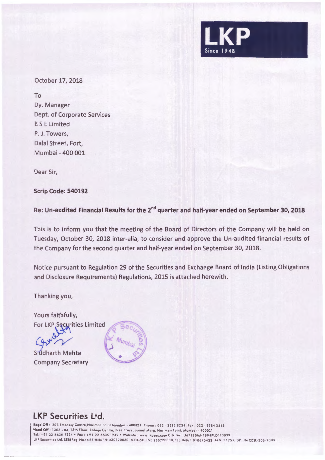

October 17, 2018

To Dy. Manager Dept. of Corporate Services BS E Limited P. J. Towers, Dalal Street, Fort, Mumbai - 400 001

Dear Sir,

**Scrip Code: 540192** 

**Re: Un-audited Financial Results for the 2nd quarter and half-year ended on September 30, 2018** 

This is to inform you that the meeting of the Board of Directors of the Company will be held on Tuesday, October 30, 2018 inter-alia, to consider and approve the Un-audited financial results of the Company for the second quarter and half-year ended on September 30, 2018.

Notice pursuant to Regulation 29 of the Securities and Exchange Board of India (Listing Obligations and Disclosure Requirements) Regulations, 2015 is attached herewith.

Thanking you,

Yours faithfully, **For LKP Securities Limited** 

Siddharth Mehta Company Secretary



## LKP Securities Ltd.

**Regd** Off : 203 Embassy Centre ,Nariman Point Mumboi - 400021 . Phone : 022 . 2282 8234 , Fa x : 022 - 2284 2415 Head Off : 1303 - 04, 13th Floor, Raheja Centre, Free Press Journal Marg, Nariman Point, Mumbai - 400021 Tel .: +91 22 6635 1234 •Fox : +91 22 6635 1249 •Website : www.lkpsec .com CIN No · U67120MH1994PLC080039 LKP Securities Ltd. SEBI Reg. No.: NSE:INB/F/E 230720030, MCX-SX: INE 260720030,BSE: INB/F 010675433, ARN: 31751, DP : IN-CDSL-206-2003